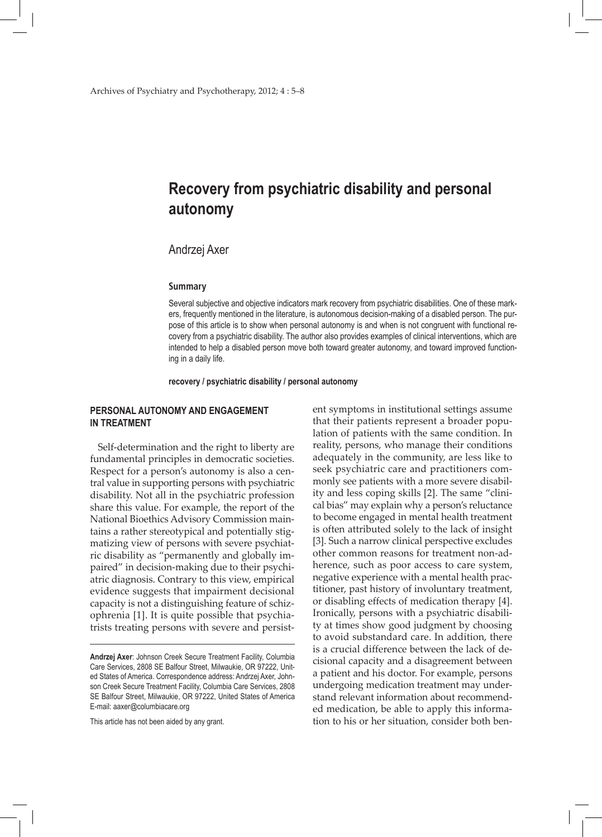# **Recovery from psychiatric disability and personal autonomy**

## Andrzej Axer

#### **Summary**

Several subjective and objective indicators mark recovery from psychiatric disabilities. One of these markers, frequently mentioned in the literature, is autonomous decision-making of a disabled person. The purpose of this article is to show when personal autonomy is and when is not congruent with functional recovery from a psychiatric disability. The author also provides examples of clinical interventions, which are intended to help a disabled person move both toward greater autonomy, and toward improved functioning in a daily life.

**recovery / psychiatric disability / personal autonomy**

## **Personal autonomy and engagement in treatment**

Self-determination and the right to liberty are fundamental principles in democratic societies. Respect for a person's autonomy is also a central value in supporting persons with psychiatric disability. Not all in the psychiatric profession share this value. For example, the report of the National Bioethics Advisory Commission maintains a rather stereotypical and potentially stigmatizing view of persons with severe psychiatric disability as "permanently and globally impaired" in decision-making due to their psychiatric diagnosis. Contrary to this view, empirical evidence suggests that impairment decisional capacity is not a distinguishing feature of schizophrenia [1]. It is quite possible that psychiatrists treating persons with severe and persist-

This article has not been aided by any grant.

ent symptoms in institutional settings assume that their patients represent a broader population of patients with the same condition. In reality, persons, who manage their conditions adequately in the community, are less like to seek psychiatric care and practitioners commonly see patients with a more severe disability and less coping skills [2]. The same "clinical bias" may explain why a person's reluctance to become engaged in mental health treatment is often attributed solely to the lack of insight [3]. Such a narrow clinical perspective excludes other common reasons for treatment non-adherence, such as poor access to care system, negative experience with a mental health practitioner, past history of involuntary treatment, or disabling effects of medication therapy [4]. Ironically, persons with a psychiatric disability at times show good judgment by choosing to avoid substandard care. In addition, there is a crucial difference between the lack of decisional capacity and a disagreement between a patient and his doctor. For example, persons undergoing medication treatment may understand relevant information about recommended medication, be able to apply this information to his or her situation, consider both ben-

**Andrzej Axer**: Johnson Creek Secure Treatment Facility, Columbia Care Services, 2808 SE Balfour Street, Milwaukie, OR 97222, United States of America. Correspondence address: Andrzej Axer, Johnson Creek Secure Treatment Facility, Columbia Care Services, 2808 SE Balfour Street, Milwaukie, OR 97222, United States of America E-mail: aaxer@columbiacare.org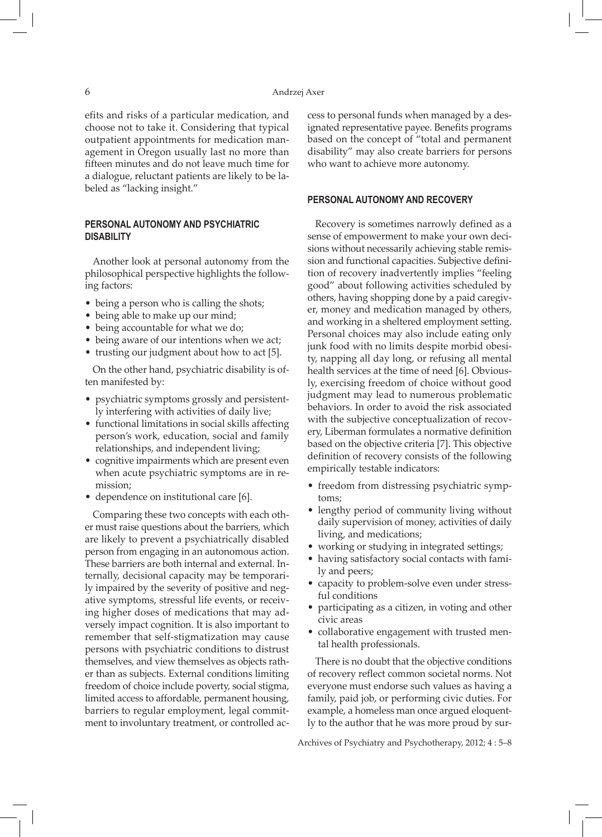efits and risks of a particular medication, and choose not to take it. Considering that typical outpatient appointments for medication management in Oregon usually last no more than fifteen minutes and do not leave much time for a dialogue, reluctant patients are likely to be labeled as "lacking insight."

## **Personal autonomy and psychiatric disability**

Another look at personal autonomy from the philosophical perspective highlights the following factors:

- being a person who is calling the shots;
- being able to make up our mind;
- being accountable for what we do;
- being aware of our intentions when we act;
- trusting our judgment about how to act [5].

On the other hand, psychiatric disability is often manifested by:

- psychiatric symptoms grossly and persistently interfering with activities of daily live;
- functional limitations in social skills affecting person's work, education, social and family relationships, and independent living;
- • cognitive impairments which are present even when acute psychiatric symptoms are in remission;
- dependence on institutional care [6].

Comparing these two concepts with each other must raise questions about the barriers, which are likely to prevent a psychiatrically disabled person from engaging in an autonomous action. These barriers are both internal and external. Internally, decisional capacity may be temporarily impaired by the severity of positive and negative symptoms, stressful life events, or receiving higher doses of medications that may adversely impact cognition. It is also important to remember that self-stigmatization may cause persons with psychiatric conditions to distrust themselves, and view themselves as objects rather than as subjects. External conditions limiting freedom of choice include poverty, social stigma, limited access to affordable, permanent housing, barriers to regular employment, legal commitment to involuntary treatment, or controlled access to personal funds when managed by a designated representative payee. Benefits programs based on the concept of "total and permanent disability" may also create barriers for persons who want to achieve more autonomy.

### **Personal autonomy and recovery**

Recovery is sometimes narrowly defined as a sense of empowerment to make your own decisions without necessarily achieving stable remission and functional capacities. Subjective definition of recovery inadvertently implies "feeling good" about following activities scheduled by others, having shopping done by a paid caregiver, money and medication managed by others, and working in a sheltered employment setting. Personal choices may also include eating only junk food with no limits despite morbid obesity, napping all day long, or refusing all mental health services at the time of need [6]. Obviously, exercising freedom of choice without good judgment may lead to numerous problematic behaviors. In order to avoid the risk associated with the subjective conceptualization of recovery, Liberman formulates a normative definition based on the objective criteria [7]. This objective definition of recovery consists of the following empirically testable indicators:

- freedom from distressing psychiatric symptoms;
- lengthy period of community living without daily supervision of money, activities of daily living, and medications;
- working or studying in integrated settings;
- • having satisfactory social contacts with family and peers;
- capacity to problem-solve even under stressful conditions
- participating as a citizen, in voting and other civic areas
- collaborative engagement with trusted mental health professionals.

There is no doubt that the objective conditions of recovery reflect common societal norms. Not everyone must endorse such values as having a family, paid job, or performing civic duties. For example, a homeless man once argued eloquently to the author that he was more proud by sur-

Archives of Psychiatry and Psychotherapy, 2012; 4 : 5–8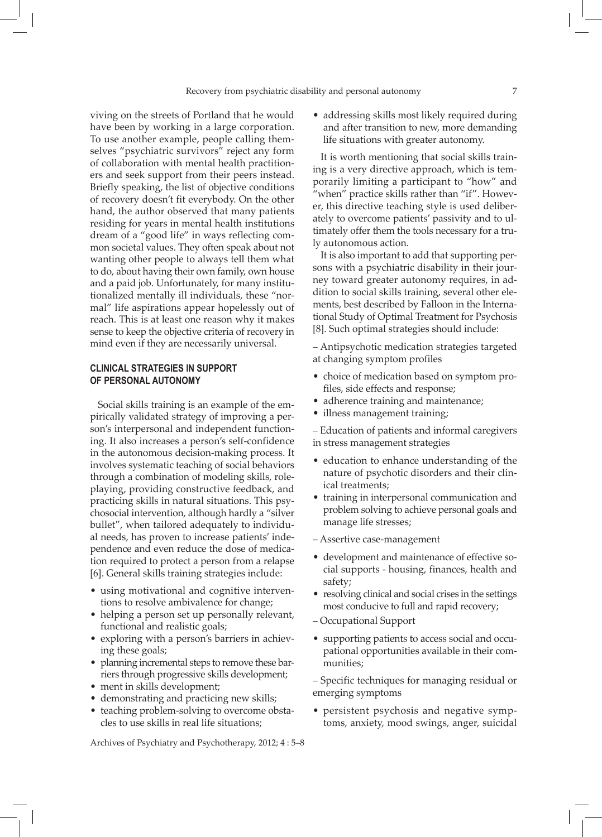viving on the streets of Portland that he would have been by working in a large corporation. To use another example, people calling themselves "psychiatric survivors" reject any form of collaboration with mental health practitioners and seek support from their peers instead. Briefly speaking, the list of objective conditions of recovery doesn't fit everybody. On the other hand, the author observed that many patients residing for years in mental health institutions dream of a "good life" in ways reflecting common societal values. They often speak about not wanting other people to always tell them what to do, about having their own family, own house and a paid job. Unfortunately, for many institutionalized mentally ill individuals, these "normal" life aspirations appear hopelessly out of reach. This is at least one reason why it makes sense to keep the objective criteria of recovery in mind even if they are necessarily universal.

## **Clinical strategies in support of personal autonomy**

Social skills training is an example of the empirically validated strategy of improving a person's interpersonal and independent functioning. It also increases a person's self-confidence in the autonomous decision-making process. It involves systematic teaching of social behaviors through a combination of modeling skills, roleplaying, providing constructive feedback, and practicing skills in natural situations. This psychosocial intervention, although hardly a "silver bullet", when tailored adequately to individual needs, has proven to increase patients' independence and even reduce the dose of medication required to protect a person from a relapse [6]. General skills training strategies include:

- using motivational and cognitive interventions to resolve ambivalence for change;
- helping a person set up personally relevant, functional and realistic goals;
- exploring with a person's barriers in achieving these goals;
- planning incremental steps to remove these barriers through progressive skills development;
- ment in skills development;
- demonstrating and practicing new skills;
- teaching problem-solving to overcome obstacles to use skills in real life situations;

Archives of Psychiatry and Psychotherapy, 2012; 4 : 5–8

• addressing skills most likely required during and after transition to new, more demanding life situations with greater autonomy.

It is worth mentioning that social skills training is a very directive approach, which is temporarily limiting a participant to "how" and "when" practice skills rather than "if". However, this directive teaching style is used deliberately to overcome patients' passivity and to ultimately offer them the tools necessary for a truly autonomous action.

It is also important to add that supporting persons with a psychiatric disability in their journey toward greater autonomy requires, in addition to social skills training, several other elements, best described by Falloon in the International Study of Optimal Treatment for Psychosis [8]. Such optimal strategies should include:

– Antipsychotic medication strategies targeted at changing symptom profiles

- choice of medication based on symptom profiles, side effects and response;
- adherence training and maintenance;
- illness management training;

– Education of patients and informal caregivers in stress management strategies

- education to enhance understanding of the nature of psychotic disorders and their clinical treatments;
- • training in interpersonal communication and problem solving to achieve personal goals and manage life stresses;
- Assertive case-management
- development and maintenance of effective social supports - housing, finances, health and safety;
- resolving clinical and social crises in the settings most conducive to full and rapid recovery;
- Occupational Support
- supporting patients to access social and occupational opportunities available in their communities;

– Specific techniques for managing residual or emerging symptoms

• persistent psychosis and negative symptoms, anxiety, mood swings, anger, suicidal